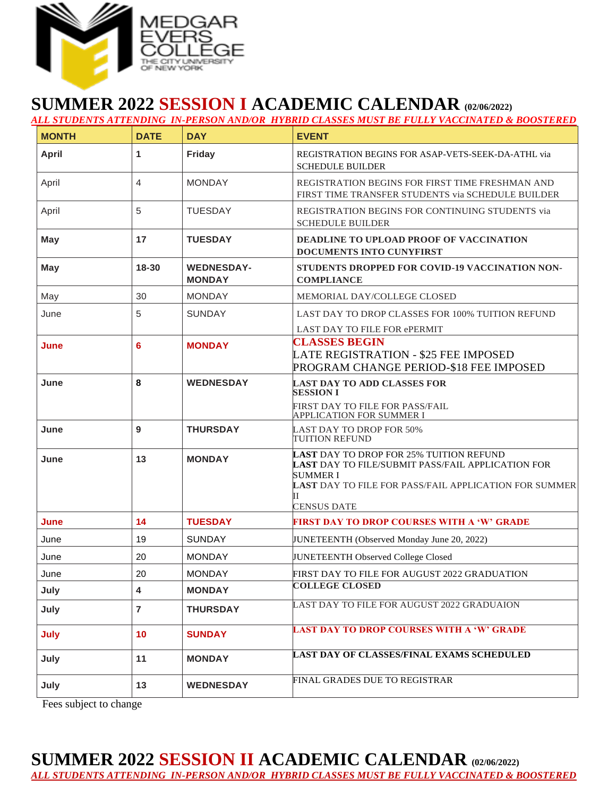

## **SUMMER 2022 SESSION I ACADEMIC CALENDAR (02/06/2022)** *ALL STUDENTS ATTENDING IN-PERSON AND/OR HYBRID CLASSES MUST BE FULLY VACCINATED & BOOSTERED*

| <b>MONTH</b> | <b>DATE</b>             | <b>DAY</b>                         | <b>EVENT</b>                                                                                                                                                                                                |
|--------------|-------------------------|------------------------------------|-------------------------------------------------------------------------------------------------------------------------------------------------------------------------------------------------------------|
| <b>April</b> | 1                       | Friday                             | REGISTRATION BEGINS FOR ASAP-VETS-SEEK-DA-ATHL via<br><b>SCHEDULE BUILDER</b>                                                                                                                               |
| April        | 4                       | <b>MONDAY</b>                      | REGISTRATION BEGINS FOR FIRST TIME FRESHMAN AND<br>FIRST TIME TRANSFER STUDENTS via SCHEDULE BUILDER                                                                                                        |
| April        | 5                       | <b>TUESDAY</b>                     | REGISTRATION BEGINS FOR CONTINUING STUDENTS via<br><b>SCHEDULE BUILDER</b>                                                                                                                                  |
| May          | 17                      | <b>TUESDAY</b>                     | DEADLINE TO UPLOAD PROOF OF VACCINATION<br><b>DOCUMENTS INTO CUNYFIRST</b>                                                                                                                                  |
| <b>May</b>   | 18-30                   | <b>WEDNESDAY-</b><br><b>MONDAY</b> | STUDENTS DROPPED FOR COVID-19 VACCINATION NON-<br><b>COMPLIANCE</b>                                                                                                                                         |
| May          | 30                      | <b>MONDAY</b>                      | MEMORIAL DAY/COLLEGE CLOSED                                                                                                                                                                                 |
| June         | 5                       | <b>SUNDAY</b>                      | LAST DAY TO DROP CLASSES FOR 100% TUITION REFUND                                                                                                                                                            |
| June         | 6                       | <b>MONDAY</b>                      | LAST DAY TO FILE FOR ePERMIT<br><b>CLASSES BEGIN</b><br><b>LATE REGISTRATION - \$25 FEE IMPOSED</b><br>PROGRAM CHANGE PERIOD-\$18 FEE IMPOSED                                                               |
| June         | 8                       | <b>WEDNESDAY</b>                   | <b>LAST DAY TO ADD CLASSES FOR</b><br><b>SESSION I</b><br>FIRST DAY TO FILE FOR PASS/FAIL<br><b>APPLICATION FOR SUMMER I</b>                                                                                |
| June         | 9                       | <b>THURSDAY</b>                    | <b>LAST DAY TO DROP FOR 50%</b><br>TUITION REFUND                                                                                                                                                           |
| June         | 13                      | <b>MONDAY</b>                      | <b>LAST DAY TO DROP FOR 25% TUITION REFUND</b><br>LAST DAY TO FILE/SUBMIT PASS/FAIL APPLICATION FOR<br><b>SUMMER I</b><br>LAST DAY TO FILE FOR PASS/FAIL APPLICATION FOR SUMMER<br>Н.<br><b>CENSUS DATE</b> |
| June         | 14                      | <b>TUESDAY</b>                     | <b>FIRST DAY TO DROP COURSES WITH A 'W' GRADE</b>                                                                                                                                                           |
| June         | 19                      | <b>SUNDAY</b>                      | JUNETEENTH (Observed Monday June 20, 2022)                                                                                                                                                                  |
| June         | 20                      | <b>MONDAY</b>                      | JUNETEENTH Observed College Closed                                                                                                                                                                          |
| June         | 20                      | MONDAY                             | FIRST DAY TO FILE FOR AUGUST 2022 GRADUATION                                                                                                                                                                |
| July         | $\overline{\mathbf{4}}$ | <b>MONDAY</b>                      | <b>COLLEGE CLOSED</b>                                                                                                                                                                                       |
| July         | $\overline{7}$          | <b>THURSDAY</b>                    | LAST DAY TO FILE FOR AUGUST 2022 GRADUAION                                                                                                                                                                  |
| July         | 10                      | <b>SUNDAY</b>                      | <b>LAST DAY TO DROP COURSES WITH A 'W' GRADE</b>                                                                                                                                                            |
| July         | 11                      | <b>MONDAY</b>                      | <b>LAST DAY OF CLASSES/FINAL EXAMS SCHEDULED</b>                                                                                                                                                            |
| July         | 13                      | <b>WEDNESDAY</b>                   | FINAL GRADES DUE TO REGISTRAR                                                                                                                                                                               |

Fees subject to change

## **SUMMER 2022 SESSION II ACADEMIC CALENDAR (02/06/2022)**

*ALL STUDENTS ATTENDING IN-PERSON AND/OR HYBRID CLASSES MUST BE FULLY VACCINATED & BOOSTERED*